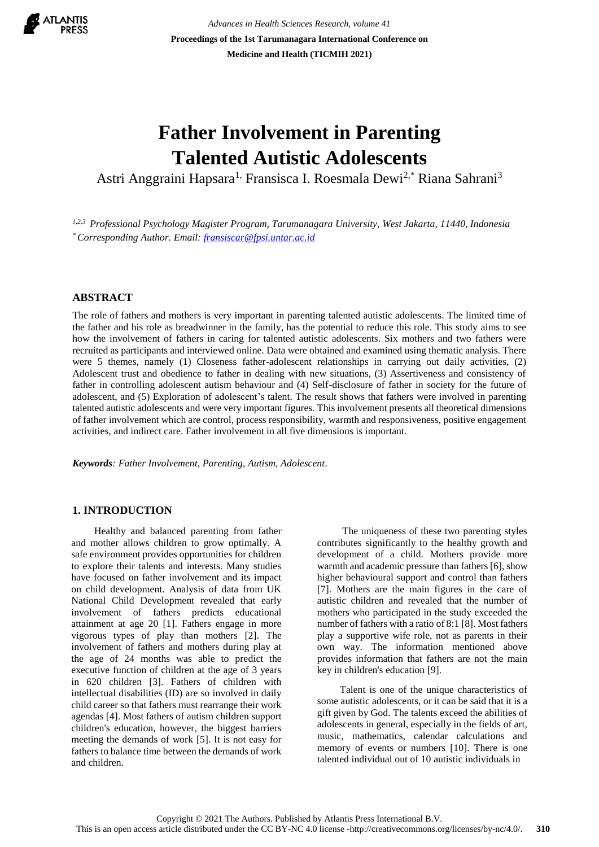

*Advances in Health Sciences Research, volume 41* **Proceedings of the 1st Tarumanagara International Conference on Medicine and Health (TICMIH 2021)**

# **Father Involvement in Parenting Talented Autistic Adolescents**

Astri Anggraini Hapsara<sup>1,</sup> Fransisca I. Roesmala Dewi<sup>2,\*</sup> Riana Sahrani<sup>3</sup>

*1,2,3 Professional Psychology Magister Program, Tarumanagara University, West Jakarta, 11440, Indonesia \* Corresponding Author. Email: [fransiscar@fpsi.untar.ac.id](mailto:fransiscar@fpsi.untar.ac.id)*

# **ABSTRACT**

The role of fathers and mothers is very important in parenting talented autistic adolescents. The limited time of the father and his role as breadwinner in the family, has the potential to reduce this role. This study aims to see how the involvement of fathers in caring for talented autistic adolescents. Six mothers and two fathers were recruited as participants and interviewed online. Data were obtained and examined using thematic analysis. There were 5 themes, namely (1) Closeness father-adolescent relationships in carrying out daily activities, (2) Adolescent trust and obedience to father in dealing with new situations, (3) Assertiveness and consistency of father in controlling adolescent autism behaviour and (4) Self-disclosure of father in society for the future of adolescent, and (5) Exploration of adolescent's talent. The result shows that fathers were involved in parenting talented autistic adolescents and were very important figures. This involvement presents all theoretical dimensions of father involvement which are control, process responsibility, warmth and responsiveness, positive engagement activities, and indirect care. Father involvement in all five dimensions is important.

*Keywords: Father Involvement, Parenting, Autism, Adolescent.*

# **1. INTRODUCTION**

 Healthy and balanced parenting from father and mother allows children to grow optimally. A safe environment provides opportunities for children to explore their talents and interests. Many studies have focused on father involvement and its impact on child development. Analysis of data from UK National Child Development revealed that early involvement of fathers predicts educational attainment at age 20 [1]. Fathers engage in more vigorous types of play than mothers [2]. The involvement of fathers and mothers during play at the age of 24 months was able to predict the executive function of children at the age of 3 years in 620 children [3]. Fathers of children with intellectual disabilities (ID) are so involved in daily child career so that fathers must rearrange their work agendas [4]. Most fathers of autism children support children's education, however, the biggest barriers meeting the demands of work [5]. It is not easy for fathers to balance time between the demands of work and children.

 The uniqueness of these two parenting styles contributes significantly to the healthy growth and development of a child. Mothers provide more warmth and academic pressure than fathers [6], show higher behavioural support and control than fathers [7]. Mothers are the main figures in the care of autistic children and revealed that the number of mothers who participated in the study exceeded the number of fathers with a ratio of 8:1 [8]. Most fathers play a supportive wife role, not as parents in their own way. The information mentioned above provides information that fathers are not the main key in children's education [9].

 Talent is one of the unique characteristics of some autistic adolescents, or it can be said that it is a gift given by God. The talents exceed the abilities of adolescents in general, especially in the fields of art, music, mathematics, calendar calculations and memory of events or numbers [10]. There is one talented individual out of 10 autistic individuals in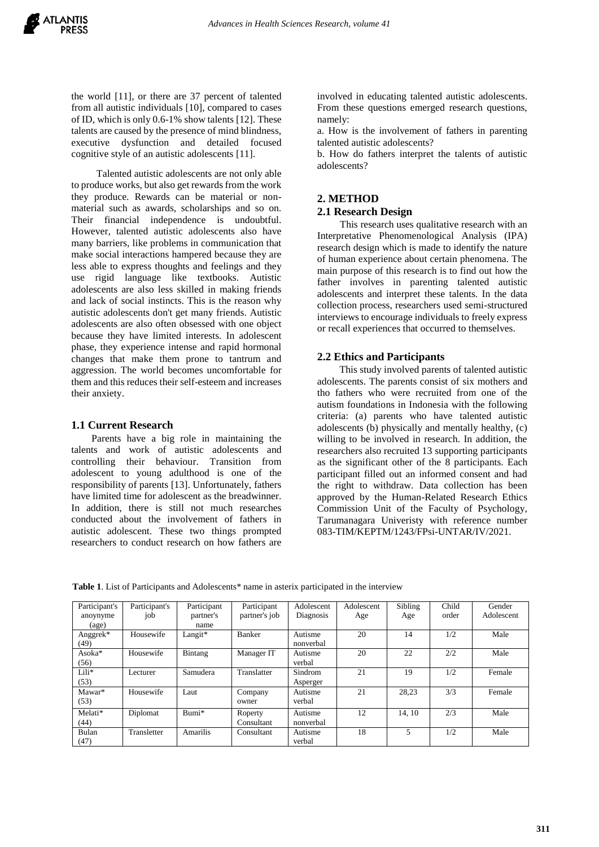the world [11], or there are 37 percent of talented from all autistic individuals [10], compared to cases of ID, which is only 0.6-1% show talents [12]. These talents are caused by the presence of mind blindness, executive dysfunction and detailed focused cognitive style of an autistic adolescents [11].

 Talented autistic adolescents are not only able to produce works, but also get rewards from the work they produce. Rewards can be material or nonmaterial such as awards, scholarships and so on. Their financial independence is undoubtful. However, talented autistic adolescents also have many barriers, like problems in communication that make social interactions hampered because they are less able to express thoughts and feelings and they use rigid language like textbooks. Autistic adolescents are also less skilled in making friends and lack of social instincts. This is the reason why autistic adolescents don't get many friends. Autistic adolescents are also often obsessed with one object because they have limited interests. In adolescent phase, they experience intense and rapid hormonal changes that make them prone to tantrum and aggression. The world becomes uncomfortable for them and this reduces their self-esteem and increases their anxiety.

# **1.1 Current Research**

 Parents have a big role in maintaining the talents and work of autistic adolescents and controlling their behaviour. Transition from adolescent to young adulthood is one of the responsibility of parents [13]. Unfortunately, fathers have limited time for adolescent as the breadwinner. In addition, there is still not much researches conducted about the involvement of fathers in autistic adolescent. These two things prompted researchers to conduct research on how fathers are

involved in educating talented autistic adolescents. From these questions emerged research questions, namely:

a. How is the involvement of fathers in parenting talented autistic adolescents?

b. How do fathers interpret the talents of autistic adolescents?

# **2. METHOD**

# **2.1 Research Design**

This research uses qualitative research with an Interpretative Phenomenological Analysis (IPA) research design which is made to identify the nature of human experience about certain phenomena. The main purpose of this research is to find out how the father involves in parenting talented autistic adolescents and interpret these talents. In the data collection process, researchers used semi-structured interviews to encourage individuals to freely express or recall experiences that occurred to themselves.

# **2.2 Ethics and Participants**

This study involved parents of talented autistic adolescents. The parents consist of six mothers and tho fathers who were recruited from one of the autism foundations in Indonesia with the following criteria: (a) parents who have talented autistic adolescents (b) physically and mentally healthy, (c) willing to be involved in research. In addition, the researchers also recruited 13 supporting participants as the significant other of the 8 participants. Each participant filled out an informed consent and had the right to withdraw. Data collection has been approved by the Human-Related Research Ethics Commission Unit of the Faculty of Psychology, Tarumanagara Univeristy with reference number 083-TIM/KEPTM/1243/FPsi-UNTAR/IV/2021.

Table 1. List of Participants and Adolescents\* name in asterix participated in the interview

| Participant's          | Participant's | Participant | Participant   | Adolescent | Adolescent | Sibling | Child | Gender     |
|------------------------|---------------|-------------|---------------|------------|------------|---------|-------|------------|
| anoynyme               | job           | partner's   | partner's job | Diagnosis  | Age        | Age     | order | Adolescent |
| $\left($ age $\right)$ |               | name        |               |            |            |         |       |            |
| Anggrek*               | Housewife     | Langit*     | Banker        | Autisme    | 20         | 14      | 1/2   | Male       |
| (49)                   |               |             |               | nonverbal  |            |         |       |            |
| Asoka*                 | Housewife     | Bintang     | Manager IT    | Autisme    | 20         | 22      | 2/2   | Male       |
| (56)                   |               |             |               | verbal     |            |         |       |            |
| Lili*                  | Lecturer      | Samudera    | Translatter   | Sindrom    | 21         | 19      | 1/2   | Female     |
| (53)                   |               |             |               | Asperger   |            |         |       |            |
| Mawar*                 | Housewife     | Laut        | Company       | Autisme    | 21         | 28,23   | 3/3   | Female     |
| (53)                   |               |             | owner         | verbal     |            |         |       |            |
| Melati*                | Diplomat      | Bumi*       | Roperty       | Autisme    | 12         | 14.10   | 2/3   | Male       |
| (44)                   |               |             | Consultant    | nonverbal  |            |         |       |            |
| Bulan                  | Transletter   | Amarilis    | Consultant    | Autisme    | 18         | 5       | 1/2   | Male       |
| (47)                   |               |             |               | verbal     |            |         |       |            |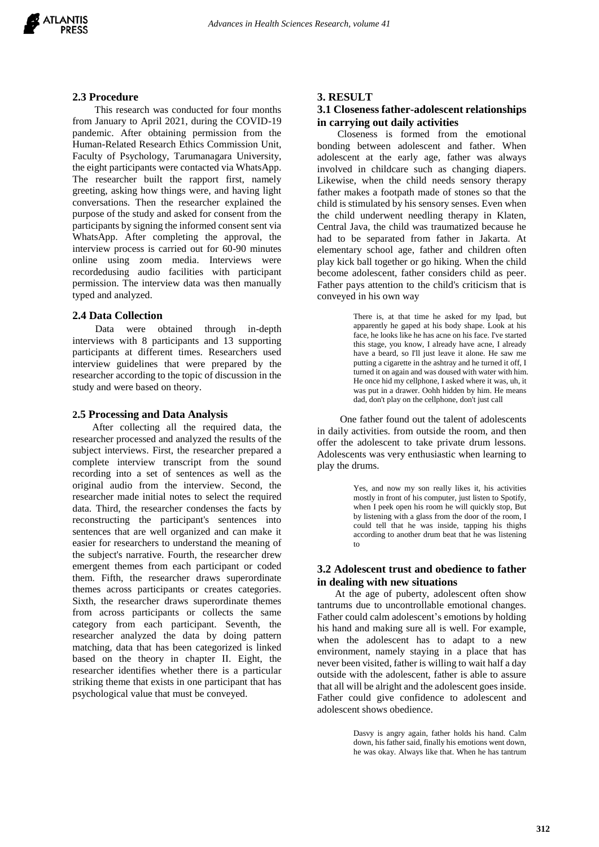

### **2.3 Procedure**

 This research was conducted for four months from January to April 2021, during the COVID-19 pandemic. After obtaining permission from the Human-Related Research Ethics Commission Unit, Faculty of Psychology, Tarumanagara University, the eight participants were contacted via WhatsApp. The researcher built the rapport first, namely greeting, asking how things were, and having light conversations. Then the researcher explained the purpose of the study and asked for consent from the participants by signing the informed consent sent via WhatsApp. After completing the approval, the interview process is carried out for 60-90 minutes online using zoom media. Interviews were recordedusing audio facilities with participant permission. The interview data was then manually typed and analyzed.

#### **2.4 Data Collection**

 Data were obtained through in-depth interviews with 8 participants and 13 supporting participants at different times. Researchers used interview guidelines that were prepared by the researcher according to the topic of discussion in the study and were based on theory.

#### **2.5 Processing and Data Analysis**

After collecting all the required data, the researcher processed and analyzed the results of the subject interviews. First, the researcher prepared a complete interview transcript from the sound recording into a set of sentences as well as the original audio from the interview. Second, the researcher made initial notes to select the required data. Third, the researcher condenses the facts by reconstructing the participant's sentences into sentences that are well organized and can make it easier for researchers to understand the meaning of the subject's narrative. Fourth, the researcher drew emergent themes from each participant or coded them. Fifth, the researcher draws superordinate themes across participants or creates categories. Sixth, the researcher draws superordinate themes from across participants or collects the same category from each participant. Seventh, the researcher analyzed the data by doing pattern matching, data that has been categorized is linked based on the theory in chapter II. Eight, the researcher identifies whether there is a particular striking theme that exists in one participant that has psychological value that must be conveyed.

#### **3. RESULT**

### **3.1 Closeness father-adolescent relationships in carrying out daily activities**

 Closeness is formed from the emotional bonding between adolescent and father. When adolescent at the early age, father was always involved in childcare such as changing diapers. Likewise, when the child needs sensory therapy father makes a footpath made of stones so that the child is stimulated by his sensory senses. Even when the child underwent needling therapy in Klaten, Central Java, the child was traumatized because he had to be separated from father in Jakarta. At elementary school age, father and children often play kick ball together or go hiking. When the child become adolescent, father considers child as peer. Father pays attention to the child's criticism that is conveyed in his own way

> There is, at that time he asked for my Ipad, but apparently he gaped at his body shape. Look at his face, he looks like he has acne on his face. I've started this stage, you know, I already have acne, I already have a beard, so I'll just leave it alone. He saw me putting a cigarette in the ashtray and he turned it off, I turned it on again and was doused with water with him. He once hid my cellphone, I asked where it was, uh, it was put in a drawer. Oohh hidden by him. He means dad, don't play on the cellphone, don't just call

 One father found out the talent of adolescents in daily activities. from outside the room, and then offer the adolescent to take private drum lessons. Adolescents was very enthusiastic when learning to play the drums.

> Yes, and now my son really likes it, his activities mostly in front of his computer, just listen to Spotify, when I peek open his room he will quickly stop, But by listening with a glass from the door of the room, I could tell that he was inside, tapping his thighs according to another drum beat that he was listening to

# **3.2 Adolescent trust and obedience to father in dealing with new situations**

 At the age of puberty, adolescent often show tantrums due to uncontrollable emotional changes. Father could calm adolescent's emotions by holding his hand and making sure all is well. For example, when the adolescent has to adapt to a new environment, namely staying in a place that has never been visited, father is willing to wait half a day outside with the adolescent, father is able to assure that all will be alright and the adolescent goes inside. Father could give confidence to adolescent and adolescent shows obedience.

> Dasvy is angry again, father holds his hand. Calm down, his father said, finally his emotions went down, he was okay. Always like that. When he has tantrum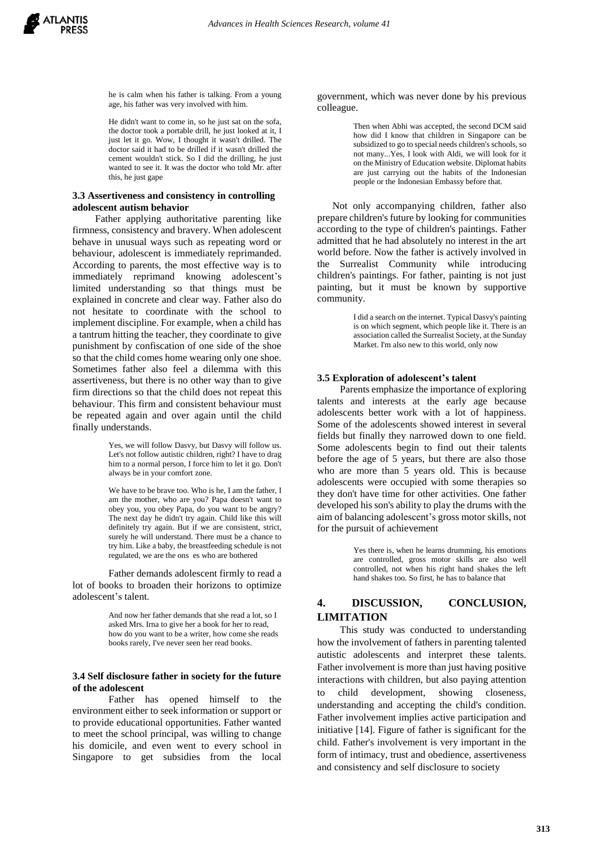he is calm when his father is talking. From a young age, his father was very involved with him.

He didn't want to come in, so he just sat on the sofa, the doctor took a portable drill, he just looked at it, I just let it go. Wow, I thought it wasn't drilled. The doctor said it had to be drilled if it wasn't drilled the cement wouldn't stick. So I did the drilling, he just wanted to see it. It was the doctor who told Mr. after this, he just gape

#### **3.3 Assertiveness and consistency in controlling adolescent autism behavior**

 Father applying authoritative parenting like firmness, consistency and bravery. When adolescent behave in unusual ways such as repeating word or behaviour, adolescent is immediately reprimanded. According to parents, the most effective way is to immediately reprimand knowing adolescent's limited understanding so that things must be explained in concrete and clear way. Father also do not hesitate to coordinate with the school to implement discipline. For example, when a child has a tantrum hitting the teacher, they coordinate to give punishment by confiscation of one side of the shoe so that the child comes home wearing only one shoe. Sometimes father also feel a dilemma with this assertiveness, but there is no other way than to give firm directions so that the child does not repeat this behaviour. This firm and consistent behaviour must be repeated again and over again until the child finally understands.

> Yes, we will follow Dasvy, but Dasvy will follow us. Let's not follow autistic children, right? I have to drag him to a normal person, I force him to let it go. Don't always be in your comfort zone.

> We have to be brave too. Who is he, I am the father, I am the mother, who are you? Papa doesn't want to obey you, you obey Papa, do you want to be angry? The next day he didn't try again. Child like this will definitely try again. But if we are consistent, strict, surely he will understand. There must be a chance to try him. Like a baby, the breastfeeding schedule is not regulated, we are the ons es who are bothered

Father demands adolescent firmly to read a lot of books to broaden their horizons to optimize adolescent's talent.

> And now her father demands that she read a lot, so I asked Mrs. Irna to give her a book for her to read, how do you want to be a writer, how come she reads books rarely, I've never seen her read books.

#### **3.4 Self disclosure father in society for the future of the adolescent**

Father has opened himself to the environment either to seek information or support or to provide educational opportunities. Father wanted to meet the school principal, was willing to change his domicile, and even went to every school in Singapore to get subsidies from the local

government, which was never done by his previous colleague.

> Then when Abhi was accepted, the second DCM said how did I know that children in Singapore can be subsidized to go to special needs children's schools, so not many...Yes, I look with Aldi, we will look for it on the Ministry of Education website. Diplomat habits are just carrying out the habits of the Indonesian people or the Indonesian Embassy before that.

 Not only accompanying children, father also prepare children's future by looking for communities according to the type of children's paintings. Father admitted that he had absolutely no interest in the art world before. Now the father is actively involved in the Surrealist Community while introducing children's paintings. For father, painting is not just painting, but it must be known by supportive community.

> I did a search on the internet. Typical Dasvy's painting is on which segment, which people like it. There is an association called the Surrealist Society, at the Sunday Market. I'm also new to this world, only now

#### **3.5 Exploration of adolescent's talent**

 Parents emphasize the importance of exploring talents and interests at the early age because adolescents better work with a lot of happiness. Some of the adolescents showed interest in several fields but finally they narrowed down to one field. Some adolescents begin to find out their talents before the age of 5 years, but there are also those who are more than 5 years old. This is because adolescents were occupied with some therapies so they don't have time for other activities. One father developed his son's ability to play the drums with the aim of balancing adolescent's gross motor skills, not for the pursuit of achievement

> Yes there is, when he learns drumming, his emotions are controlled, gross motor skills are also well controlled, not when his right hand shakes the left hand shakes too. So first, he has to balance that

# **4. DISCUSSION, CONCLUSION, LIMITATION**

This study was conducted to understanding how the involvement of fathers in parenting talented autistic adolescents and interpret these talents. Father involvement is more than just having positive interactions with children, but also paying attention to child development, showing closeness, understanding and accepting the child's condition. Father involvement implies active participation and initiative [14]. Figure of father is significant for the child. Father's involvement is very important in the form of intimacy, trust and obedience, assertiveness and consistency and self disclosure to society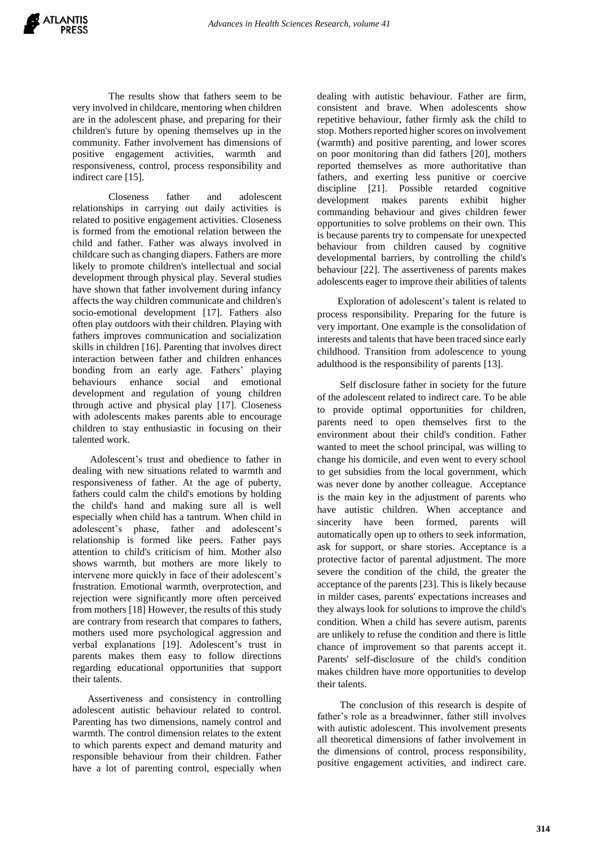The results show that fathers seem to be very involved in childcare, mentoring when children are in the adolescent phase, and preparing for their children's future by opening themselves up in the community. Father involvement has dimensions of positive engagement activities, warmth and responsiveness, control, process responsibility and indirect care [15].

Closeness father and adolescent relationships in carrying out daily activities is related to positive engagement activities. Closeness is formed from the emotional relation between the child and father. Father was always involved in childcare such as changing diapers. Fathers are more likely to promote children's intellectual and social development through physical play. Several studies have shown that father involvement during infancy affects the way children communicate and children's socio-emotional development [17]. Fathers also often play outdoors with their children. Playing with fathers improves communication and socialization skills in children [16]. Parenting that involves direct interaction between father and children enhances bonding from an early age. Fathers' playing behaviours enhance social and emotional development and regulation of young children through active and physical play [17]. Closeness with adolescents makes parents able to encourage children to stay enthusiastic in focusing on their talented work.

 Adolescent's trust and obedience to father in dealing with new situations related to warmth and responsiveness of father. At the age of puberty, fathers could calm the child's emotions by holding the child's hand and making sure all is well especially when child has a tantrum. When child in adolescent's phase, father and adolescent's relationship is formed like peers. Father pays attention to child's criticism of him. Mother also shows warmth, but mothers are more likely to intervene more quickly in face of their adolescent's frustration. Emotional warmth, overprotection, and rejection were significantly more often perceived from mothers [18] However, the results of this study are contrary from research that compares to fathers, mothers used more psychological aggression and verbal explanations [19]. Adolescent's trust in parents makes them easy to follow directions regarding educational opportunities that support their talents.

 Assertiveness and consistency in controlling adolescent autistic behaviour related to control. Parenting has two dimensions, namely control and warmth. The control dimension relates to the extent to which parents expect and demand maturity and responsible behaviour from their children. Father have a lot of parenting control, especially when

dealing with autistic behaviour. Father are firm, consistent and brave. When adolescents show repetitive behaviour, father firmly ask the child to stop. Mothers reported higher scores on involvement (warmth) and positive parenting, and lower scores on poor monitoring than did fathers [20], mothers reported themselves as more authoritative than fathers, and exerting less punitive or coercive discipline [21]. Possible retarded cognitive development makes parents exhibit higher commanding behaviour and gives children fewer opportunities to solve problems on their own. This is because parents try to compensate for unexpected behaviour from children caused by cognitive developmental barriers, by controlling the child's behaviour [22]. The assertiveness of parents makes adolescents eager to improve their abilities of talents

 Exploration of adolescent's talent is related to process responsibility. Preparing for the future is very important. One example is the consolidation of interests and talents that have been traced since early childhood. Transition from adolescence to young adulthood is the responsibility of parents [13].

 Self disclosure father in society for the future of the adolescent related to indirect care. To be able to provide optimal opportunities for children, parents need to open themselves first to the environment about their child's condition. Father wanted to meet the school principal, was willing to change his domicile, and even went to every school to get subsidies from the local government, which was never done by another colleague. Acceptance is the main key in the adjustment of parents who have autistic children. When acceptance and sincerity have been formed, parents will automatically open up to others to seek information, ask for support, or share stories. Acceptance is a protective factor of parental adjustment. The more severe the condition of the child, the greater the acceptance of the parents [23]. This is likely because in milder cases, parents' expectations increases and they always look for solutions to improve the child's condition. When a child has severe autism, parents are unlikely to refuse the condition and there is little chance of improvement so that parents accept it. Parents' self-disclosure of the child's condition makes children have more opportunities to develop their talents.

 The conclusion of this research is despite of father's role as a breadwinner, father still involves with autistic adolescent. This involvement presents all theoretical dimensions of father involvement in the dimensions of control, process responsibility, positive engagement activities, and indirect care.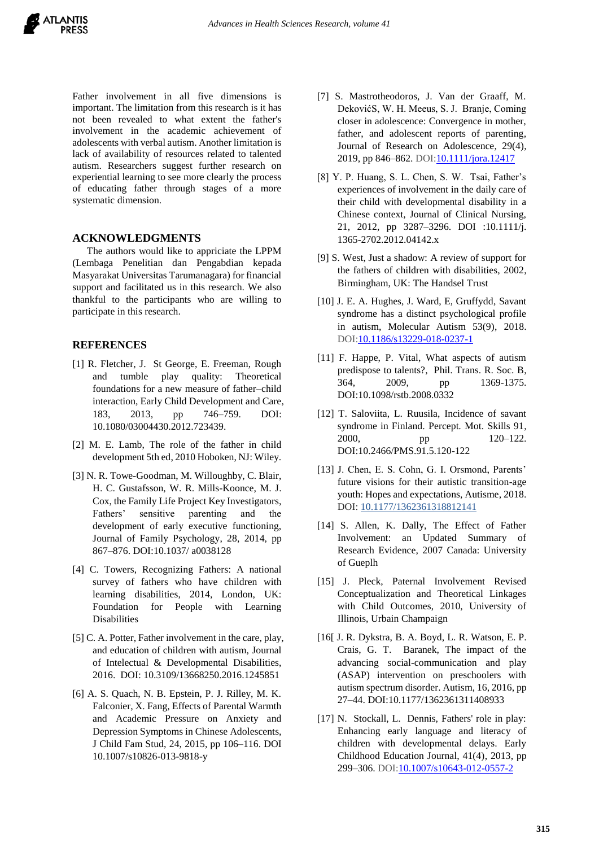Father involvement in all five dimensions is important. The limitation from this research is it has not been revealed to what extent the father's involvement in the academic achievement of adolescents with verbal autism. Another limitation is lack of availability of resources related to talented autism. Researchers suggest further research on experiential learning to see more clearly the process of educating father through stages of a more systematic dimension.

# **ACKNOWLEDGMENTS**

The authors would like to appriciate the LPPM (Lembaga Penelitian dan Pengabdian kepada Masyarakat Universitas Tarumanagara) for financial support and facilitated us in this research. We also thankful to the participants who are willing to participate in this research.

# **REFERENCES**

- [1] R. Fletcher, J. St George, E. Freeman, Rough and tumble play quality: Theoretical foundations for a new measure of father–child interaction, Early Child Development and Care, 183, 2013, pp 746–759. DOI: 10.1080/03004430.2012.723439.
- [2] M. E. Lamb, The role of the father in child development 5th ed, 2010 Hoboken, NJ: Wiley.
- [3] N. R. Towe-Goodman, M. Willoughby, C. Blair, H. C. Gustafsson, W. R. Mills-Koonce, M. J. Cox, the Family Life Project Key Investigators, Fathers' sensitive parenting and the development of early executive functioning, Journal of Family Psychology, 28, 2014, pp 867–876. DOI:10.1037/ a0038128
- [4] C. Towers, Recognizing Fathers: A national survey of fathers who have children with learning disabilities, 2014, London, UK: Foundation for People with Learning Disabilities
- [5] C. A. Potter, Father involvement in the care, play, and education of children with autism, Journal of Intelectual & Developmental Disabilities, 2016. DOI: 10.3109/13668250.2016.1245851
- [6] A. S. Quach, N. B. Epstein, P. J. Rilley, M. K. Falconier, X. Fang, Effects of Parental Warmth and Academic Pressure on Anxiety and Depression Symptoms in Chinese Adolescents, J Child Fam Stud, 24, 2015, pp 106–116. DOI 10.1007/s10826-013-9818-y
- [7] S. Mastrotheodoros, J. Van der Graaff, M. DekovićS, W. H. Meeus, S. J. Branje, Coming closer in adolescence: Convergence in mother, father, and adolescent reports of parenting, Journal of Research on Adolescence, 29(4), 2019, pp 846–862. DOI: 10.1111/jora.12417
- [8] Y. P. Huang, S. L. Chen, S. W. Tsai, Father's experiences of involvement in the daily care of their child with developmental disability in a Chinese context, Journal of Clinical Nursing, 21, 2012, pp 3287–3296. DOI :10.1111/j. 1365-2702.2012.04142.x
- [9] S. West, Just a shadow: A review of support for the fathers of children with disabilities, 2002, Birmingham, UK: The Handsel Trust
- [10] J. E. A. Hughes, J. Ward, E, Gruffydd, Savant syndrome has a distinct psychological profile in autism, Molecular Autism 53(9), 2018. DOI[:10.1186/s13229-018-0237-1](https://molecularautism.biomedcentral.com/articles/10.1186/s13229-018-0237-1)
- [11] F. Happe, P. Vital, What aspects of autism predispose to talents?, Phil. Trans. R. Soc. B, 364, 2009, pp 1369-1375. DOI:10.1098/rstb.2008.0332
- [12] T. Saloviita, L. Ruusila, Incidence of savant syndrome in Finland. Percept. Mot. Skills 91, 2000, pp 120–122. DOI:10.2466/PMS.91.5.120-122
- [13] J. Chen, E. S. Cohn, G. I. Orsmond, Parents' future visions for their autistic transition-age youth: Hopes and expectations, Autisme, 2018. DOI: [10.1177/1362361318812141](https://doi.org/10.1177/1362361318812141)
- [14] S. Allen, K. Dally, The Effect of Father Involvement: an Updated Summary of Research Evidence, 2007 Canada: University of Gueplh
- [15] J. Pleck, Paternal Involvement Revised Conceptualization and Theoretical Linkages with Child Outcomes, 2010, University of Illinois, Urbain Champaign
- [16[ J. R. Dykstra, B. A. Boyd, L. R. Watson, E. P. Crais, G. T. Baranek, The impact of the advancing social-communication and play (ASAP) intervention on preschoolers with autism spectrum disorder. Autism, 16, 2016, pp 27–44. DOI:10.1177/1362361311408933
- [17] N. Stockall, L. Dennis, Fathers' role in play: Enhancing early language and literacy of children with developmental delays. Early Childhood Education Journal, 41(4), 2013, pp 299–306. DOI[:10.1007/s10643-012-0557-2](http://dx.doi.org/10.1007/s10643-012-0557-2)